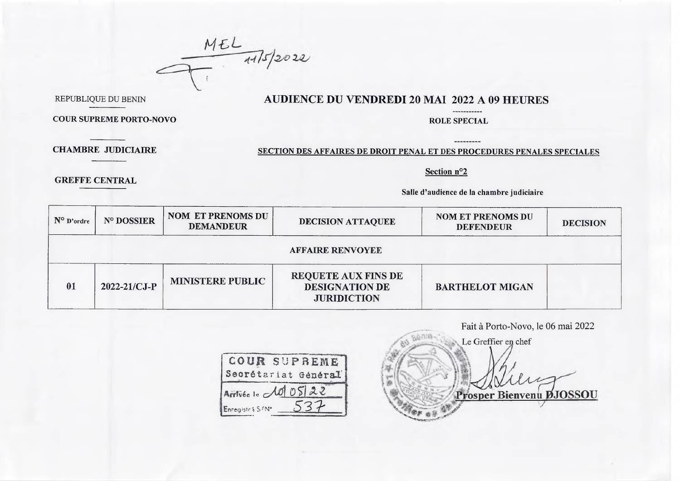$MEL$   $475/2022$ 

REPUBLIQUE DU BENIN

## **AUDIENCE DU VENDREDI 20 MAI 2022 A 09 HEURES**

COUR SUPREME PORTO-NOVO

## ROLE SPECIAL

----------

**CHAMBRE JUDICIAIRE**

**GREFFE CENTRAL**

## SECTION DES AFFAIRES DE DROIT PENAL ET DES PROCEDURES PENALES SPECIALES

Section n°2

Salle d'audience de la chambre judiciaire

| $N^{\circ}$ D'ordre | N° DOSSIER         | <b>NOM ET PRENOMS DU</b><br><b>DEMANDEUR</b> | DECISION ATTAQUEE                                                         | <b>NOM ET PRENOMS DU</b><br><b>DEFENDEUR</b> | <b>DECISION</b> |
|---------------------|--------------------|----------------------------------------------|---------------------------------------------------------------------------|----------------------------------------------|-----------------|
|                     |                    |                                              | <b>AFFAIRE RENVOYEE</b>                                                   |                                              |                 |
| 01                  | $2022 - 21/CJ - P$ | <b>MINISTERE PUBLIC</b>                      | <b>REQUETE AUX FINS DE</b><br><b>DESIGNATION DE</b><br><b>JURIDICTION</b> | <b>BARTHELOT MIGAN</b>                       |                 |

|                                     | Fait à Porto-Novo, le 06 mai 2022 |
|-------------------------------------|-----------------------------------|
|                                     | Le Greffier en chef               |
| COUR SUPBEME<br>Secrétariat Général |                                   |
| Arrivée le 10 05 22                 | Prosper Bienvenu DJOSSOU          |
| Enregistes S/N*                     |                                   |